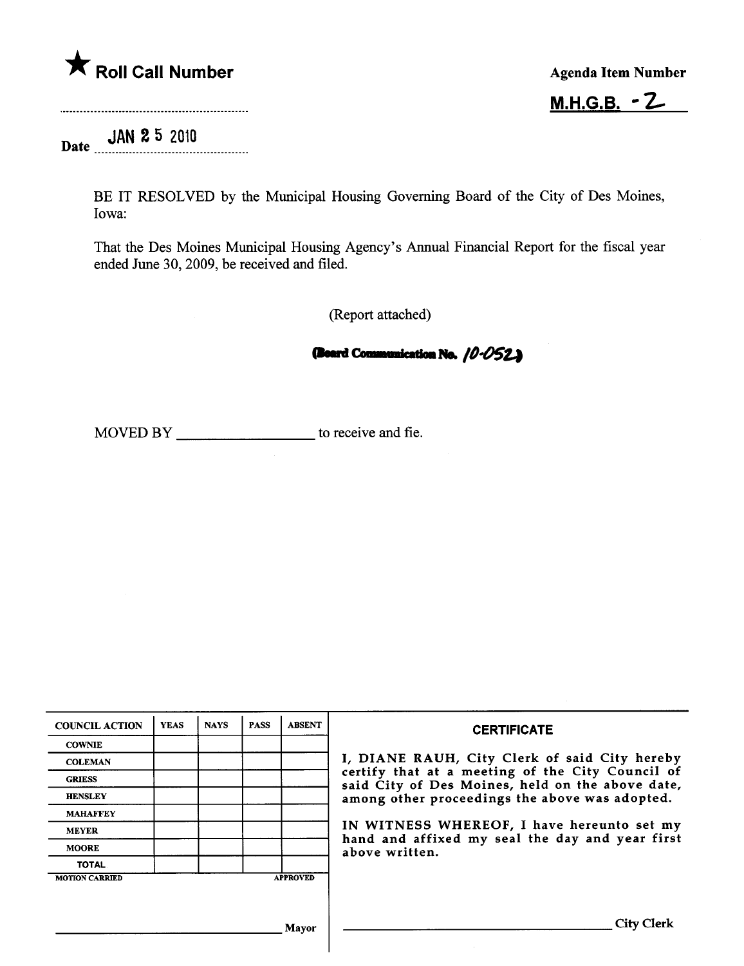

 $M.H.G.B. - 2$ 

Date JAN 2 5 2010

BE IT RESOLVED by the Municipal Housing Governing Board of the City of Des Moines, Iowa:

That the Des Moines Municipal Housing Agency's Annual Financial Report for the fiscal year ended June 30, 2009, be received and fied.

(Report attached)

(Beard Communication No.  $/0.052$ )

MOVED BY to receive and fie.

| <b>COUNCIL ACTION</b> | <b>YEAS</b> | <b>NAYS</b> | <b>PASS</b> | <b>ABSENT</b>   | <b>CERTIFICATE</b>                                                                                   |
|-----------------------|-------------|-------------|-------------|-----------------|------------------------------------------------------------------------------------------------------|
| <b>COWNIE</b>         |             |             |             |                 |                                                                                                      |
| <b>COLEMAN</b>        |             |             |             |                 | I, DIANE RAUH, City Clerk of said City hereby                                                        |
| <b>GRIESS</b>         |             |             |             |                 | certify that at a meeting of the City Council of<br>said City of Des Moines, held on the above date, |
| <b>HENSLEY</b>        |             |             |             |                 | among other proceedings the above was adopted.                                                       |
| <b>MAHAFFEY</b>       |             |             |             |                 |                                                                                                      |
| <b>MEYER</b>          |             |             |             |                 | IN WITNESS WHEREOF, I have hereunto set my<br>hand and affixed my seal the day and year first        |
| <b>MOORE</b>          |             |             |             |                 | above written.                                                                                       |
| <b>TOTAL</b>          |             |             |             |                 |                                                                                                      |
| <b>MOTION CARRIED</b> |             |             |             | <b>APPROVED</b> |                                                                                                      |
|                       |             |             |             |                 |                                                                                                      |
|                       |             |             |             | Mayor           | Citv                                                                                                 |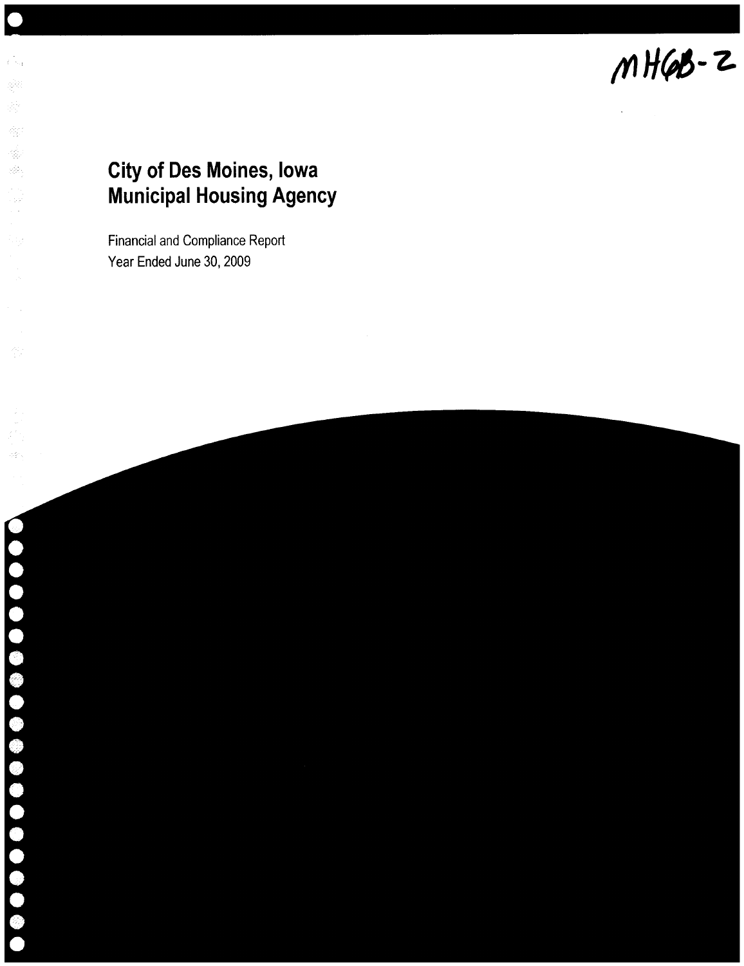

Financial and Compliance Report Year Ended June 30, 2009

속력

 $\frac{d^2\phi}{d\phi^2}$ 猿 th,

> $\langle \cdot \rangle$  $\mathcal{L}_{\mathcal{A}}$

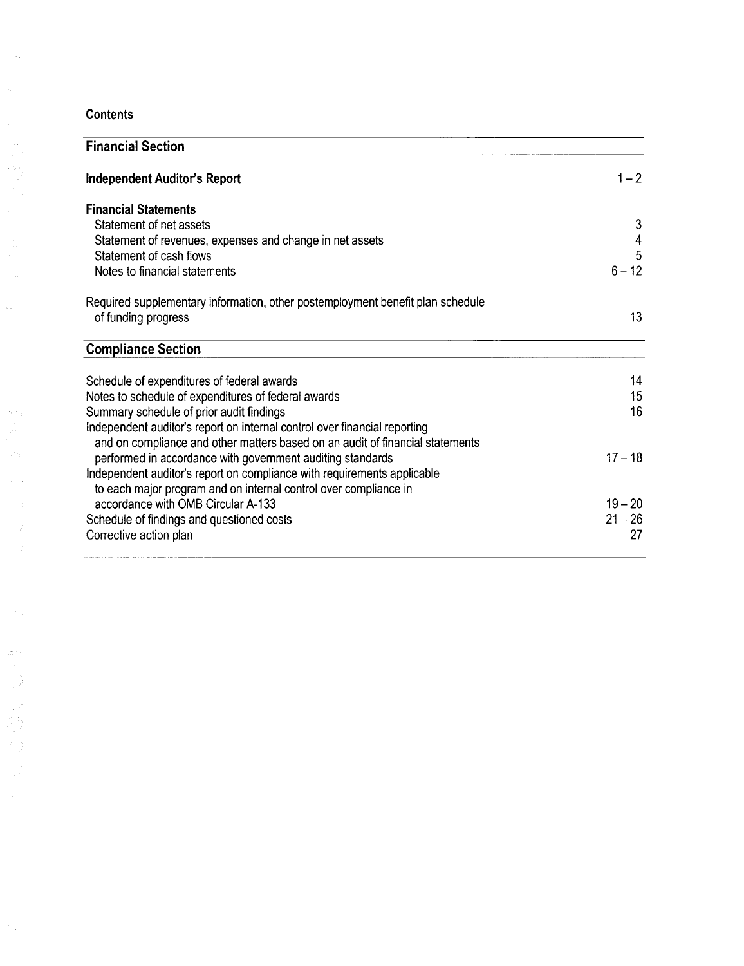### **Contents**

 $\bar{a}$ 

 $\hat{\gamma}$   $\hat{\gamma}$ 

 $\hat{\mathcal{A}}$ 

極い マース かいて

| <b>Financial Section</b>                                                                               |           |
|--------------------------------------------------------------------------------------------------------|-----------|
| <b>Independent Auditor's Report</b>                                                                    | $1 - 2$   |
| <b>Financial Statements</b>                                                                            |           |
| Statement of net assets                                                                                | 3         |
| Statement of revenues, expenses and change in net assets                                               | 4         |
| Statement of cash flows                                                                                | 5         |
| Notes to financial statements                                                                          | $6 - 12$  |
| Required supplementary information, other postemployment benefit plan schedule                         |           |
| of funding progress                                                                                    | 13        |
| <b>Compliance Section</b>                                                                              |           |
| Schedule of expenditures of federal awards                                                             | 14        |
| Notes to schedule of expenditures of federal awards                                                    | 15        |
| Summary schedule of prior audit findings                                                               | 16        |
| Independent auditor's report on internal control over financial reporting                              |           |
| and on compliance and other matters based on an audit of financial statements                          |           |
| performed in accordance with government auditing standards                                             | $17 - 18$ |
| Independent auditor's report on compliance with requirements applicable                                |           |
| to each major program and on internal control over compliance in<br>accordance with OMB Circular A-133 | $19 - 20$ |
|                                                                                                        | $21 - 26$ |
| Schedule of findings and questioned costs<br>Corrective action plan                                    | 27        |
|                                                                                                        |           |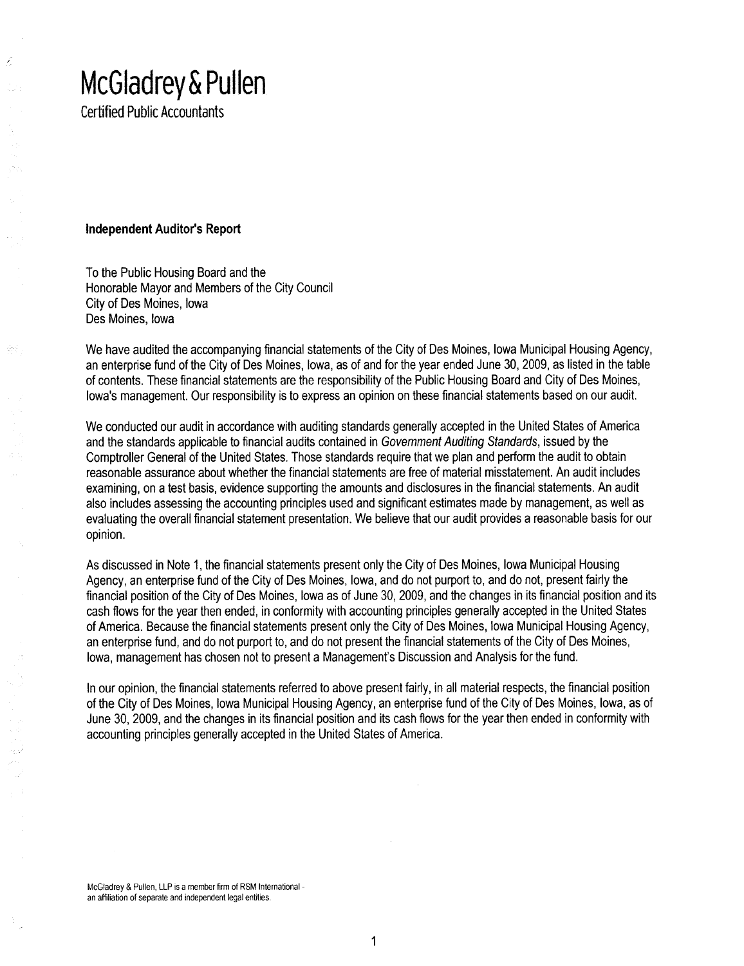# McGladrey & Pullen

Certified Public Accountants

#### Independent Auditor's Report

To the Public Housing Board and the Honorable Mayor and Members of the City Council City of Des Moines, Iowa Des Moines, Iowa

We have audited the accompanying financial statements of the City of Des Moines, Iowa Municipal Housing Agency, an enterprise fund of the City of Des Moines, Iowa, as of and for the year ended June 30, 2009, as listed in the table of contents. These financial statements are the responsibilty of the Public Housing Board and City of Des Moines, Iowa's management. Our responsibility is to express an opinion on these financial statements based on our audit.

We conducted our audit in accordance with auditing standards generally accepted in the United States of America and the standards applicable to financial audits contained in Government Auditing Standards, issued by the Comptroller General of the United States. Those standards require that we plan and perform the audit to obtain reasonable assurance about whether the financial statements are free of material misstatement. An audit includes examining, on a test basis, evidence supporting the amounts and disclosures in the financial statements. An audit also includes assessing the accounting principles used and significant estimates made by management, as well as evaluating the overall financial statement presentation. We believe that our audit provides a reasonable basis for our opinion.

As discussed in Note 1, the financial statements present only the City of Des Moines, Iowa Municipal Housing Agency, an enterprise fund of the City of Des Moines, Iowa, and do not purport to, and do not, present fairly the financial position of the City of Des Moines, Iowa as of June 30,2009, and the changes in its financial position and its cash flows for the year then ended, in conformity with accounting principles generally accepted in the United States of America. Because the financial statements present only the City of Des Moines, Iowa Municipal Housing Agency, an enterprise fund, and do not purport to, and do not present the financial statements of the City of Des Moines, Iowa, management has chosen not to present a Management's Discussion and Analysis for the fund.

In our opinion, the financial statements referred to above present fairly, in all material respects, the financial position of the City of Des Moines, Iowa Municipal Housing Agency, an enterprise fund of the City of Des Moines, Iowa, as of June 30, 2009, and the changes in its financial position and its cash flows for the year then ended in conformity with accounting principles generally accepted in the United States of America.

McGladrey & Pullen, LLP is a member firm of RSM Internationalan affliation of separate and independent legal entities.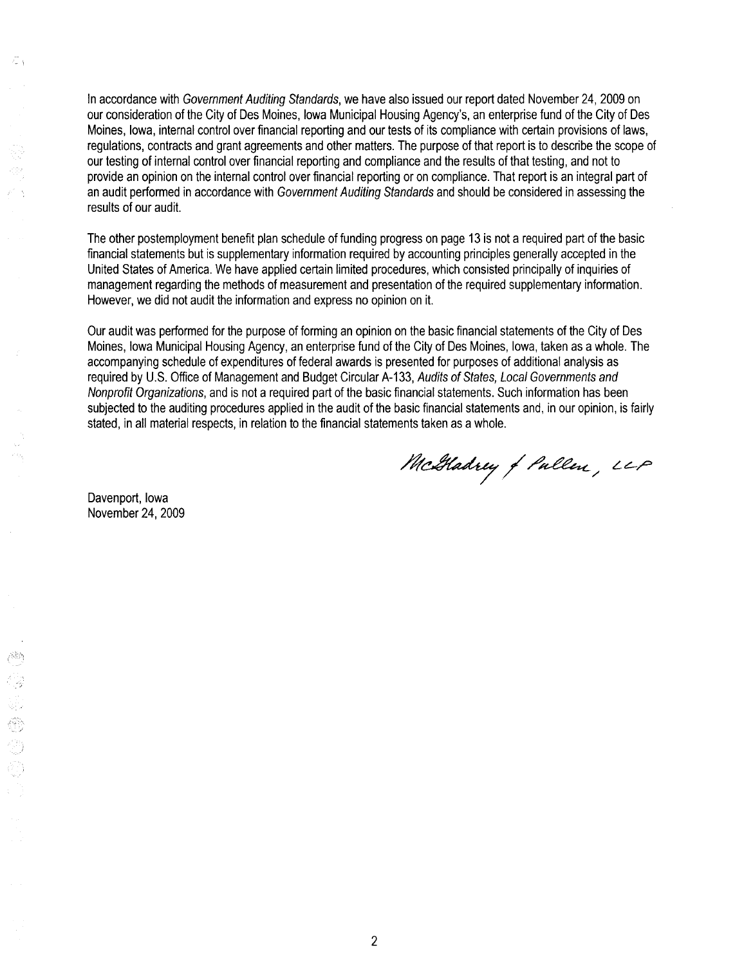In accordance with Government Auditing Standards, we have also issued our report dated November 24, 2009 on our consideration of the City of Des Moines, Iowa Municipal Housing Agency's, an enterprise fund of the City of Des Moines, Iowa, internal control over financial reporting and our tests of its compliance with certain provisions of laws, regulations, contracts and grant agreements and other matters. The purpose of that report is to describe the scope of our testing of internal control over financial reporting and compliance and the results of that testing, and not to provide an opinion on the internal control over financial reporting or on compliance. That report is an integral part of an audit performed in accordance with Government Auditing Standards and should be considered in assessing the results of our audit.

The other postemployment benefit plan schedule of funding progress on page 13 is not a required part of the basic financial statements but is supplementary information required by accounting principles generally accepted in the United States of America. We have applied certain limited procedures, which consisted principally of inquiries of management regarding the methods of measurement and presentation of the required supplementary information. However, we did not audit the information and express no opinion on it.

Our audit was performed for the purpose of forming an opinion on the basic financial statements of the City of Des Moines, Iowa Municipal Housing Agency, an enterprise fund of the City of Des Moines, Iowa, taken as a whole. The accompanying schedule of expenditures of federal awards is presented for purposes of additional analysis as required by U.S. Office of Management and Budget Circular A-133, Audits of States, Local Governments and Nonprofit Organizations, and is not a required part of the basic financial statements. Such information has been subjected to the auditing procedures applied in the audit of the basic financial statements and, in our opinion, is fairly stated, in all material respects, in relation to the financial statements taken as a whole.

McHadrey of Pullen, LLP

Davenport, Iowa November 24, 2009

Æν

C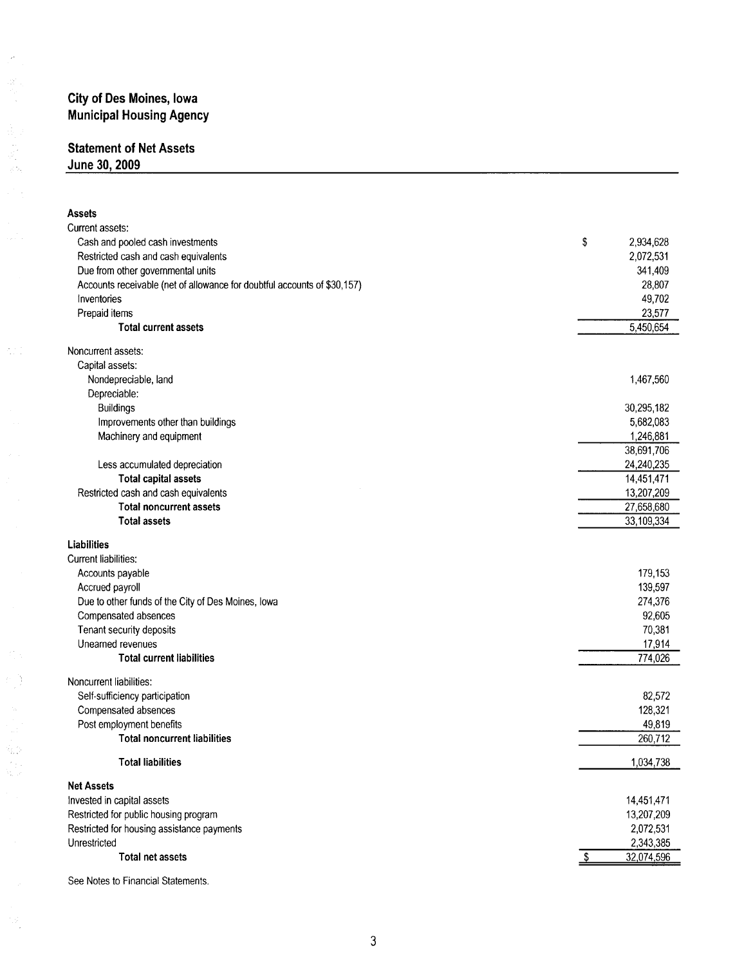$\sim$ 

 $\begin{aligned} \mathcal{R}_{\mathcal{A}}^{\mathcal{A}} \\ \mathcal{R}_{\mathcal{A}}^{\mathcal{A}} \\ \mathcal{R}_{\mathcal{A}}^{\mathcal{A}} \end{aligned}$ 

14. 医病病

 $\mathcal{L}_{\text{max}}$ 

 $\Delta \mathcal{Z}$ 

 $\langle \cdot \rangle$ 

 $\frac{1}{2}$ 

## Statement of Net Assets June 30, 2009

| Assets                                                                   |                   |
|--------------------------------------------------------------------------|-------------------|
| Current assets:                                                          |                   |
| Cash and pooled cash investments                                         | \$<br>2,934,628   |
| Restricted cash and cash equivalents                                     | 2,072,531         |
| Due from other governmental units                                        | 341,409           |
| Accounts receivable (net of allowance for doubtful accounts of \$30,157) | 28,807            |
| Inventories                                                              | 49,702            |
| Prepaid items                                                            | 23,577            |
| <b>Total current assets</b>                                              | 5,450,654         |
| Noncurrent assets:                                                       |                   |
| Capital assets:                                                          |                   |
| Nondepreciable, land                                                     | 1,467,560         |
| Depreciable:                                                             |                   |
| <b>Buildings</b>                                                         | 30,295,182        |
| Improvements other than buildings                                        | 5,682,083         |
| Machinery and equipment                                                  | 1,246,881         |
|                                                                          | 38,691,706        |
| Less accumulated depreciation                                            | 24,240,235        |
| <b>Total capital assets</b>                                              | 14,451,471        |
| Restricted cash and cash equivalents                                     | 13,207,209        |
| <b>Total noncurrent assets</b>                                           | 27,658,680        |
| <b>Total assets</b>                                                      | 33,109,334        |
| <b>Liabilities</b>                                                       |                   |
| Current liabilities:                                                     |                   |
| Accounts payable                                                         | 179,153           |
| Accrued payroll                                                          | 139,597           |
| Due to other funds of the City of Des Moines, lowa                       | 274,376           |
| Compensated absences                                                     | 92,605            |
| Tenant security deposits                                                 | 70,381            |
| Unearned revenues                                                        | 17,914            |
| <b>Total current liabilities</b>                                         | 774,026           |
| Noncurrent liabilities:                                                  |                   |
| Self-sufficiency participation                                           | 82,572            |
| Compensated absences                                                     | 128,321           |
| Post employment benefits                                                 | 49,819            |
| <b>Total noncurrent liabilities</b>                                      | 260,712           |
| <b>Total liabilities</b>                                                 | 1,034,738         |
| <b>Net Assets</b>                                                        |                   |
| Invested in capital assets                                               | 14,451,471        |
| Restricted for public housing program                                    | 13,207,209        |
| Restricted for housing assistance payments                               | 2,072,531         |
| Unrestricted                                                             | 2,343,385         |
| <b>Total net assets</b>                                                  | 32,074,596<br>-\$ |

See Notes to Financial Statements.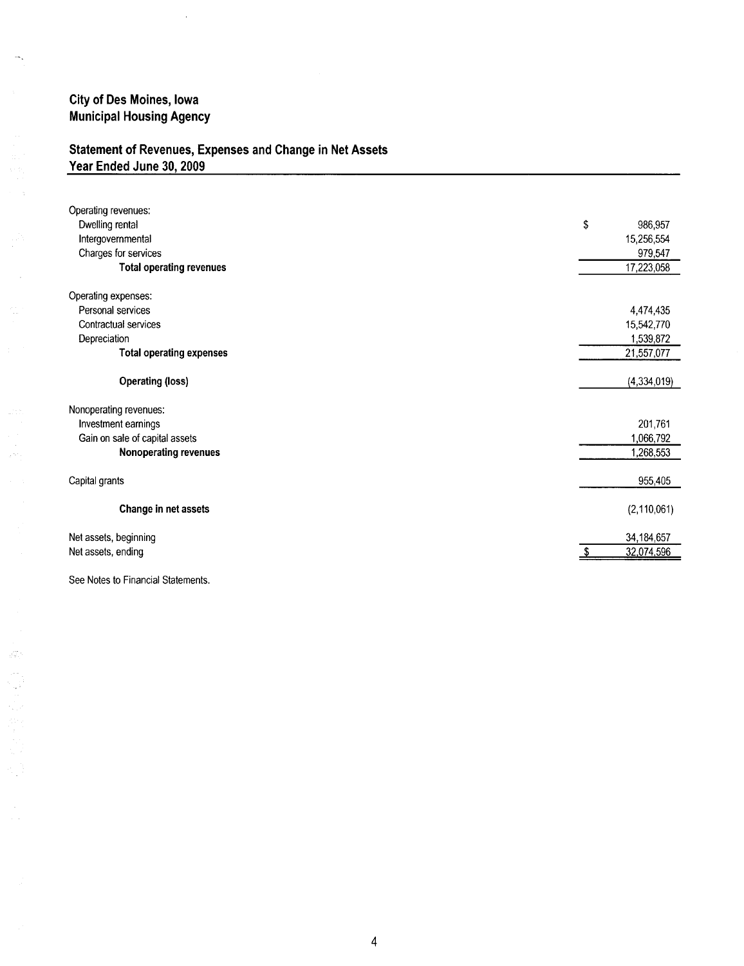$\sim$ 

 $\sim$ 

 $\mathbb{R}^{d_{\mathcal{A}}^{\mathcal{A}}}$ 

 $\hat{\mathcal{H}}_{\mathcal{M}_{\mathcal{G}}}^{(0)}$ 

A)

#### Statement of Revenues, Expenses and Change in Net Assets Year Ended June 30, 2009

| Operating revenues:             |               |
|---------------------------------|---------------|
| Dwelling rental                 | \$<br>986,957 |
| Intergovernmental               | 15,256,554    |
| Charges for services            | 979,547       |
| <b>Total operating revenues</b> | 17,223,058    |
| Operating expenses:             |               |
| Personal services               | 4,474,435     |
| Contractual services            | 15,542,770    |
| Depreciation                    | 1,539,872     |
| <b>Total operating expenses</b> | 21,557,077    |
| <b>Operating (loss)</b>         | (4,334,019)   |
| Nonoperating revenues:          |               |
| Investment earnings             | 201,761       |
| Gain on sale of capital assets  | 1,066,792     |
| <b>Nonoperating revenues</b>    | 1,268,553     |
| Capital grants                  | 955,405       |
| Change in net assets            | (2, 110, 061) |
| Net assets, beginning           | 34, 184, 657  |
| Net assets, ending              | 32,074,596    |
|                                 |               |

See Notes to Financial Statements.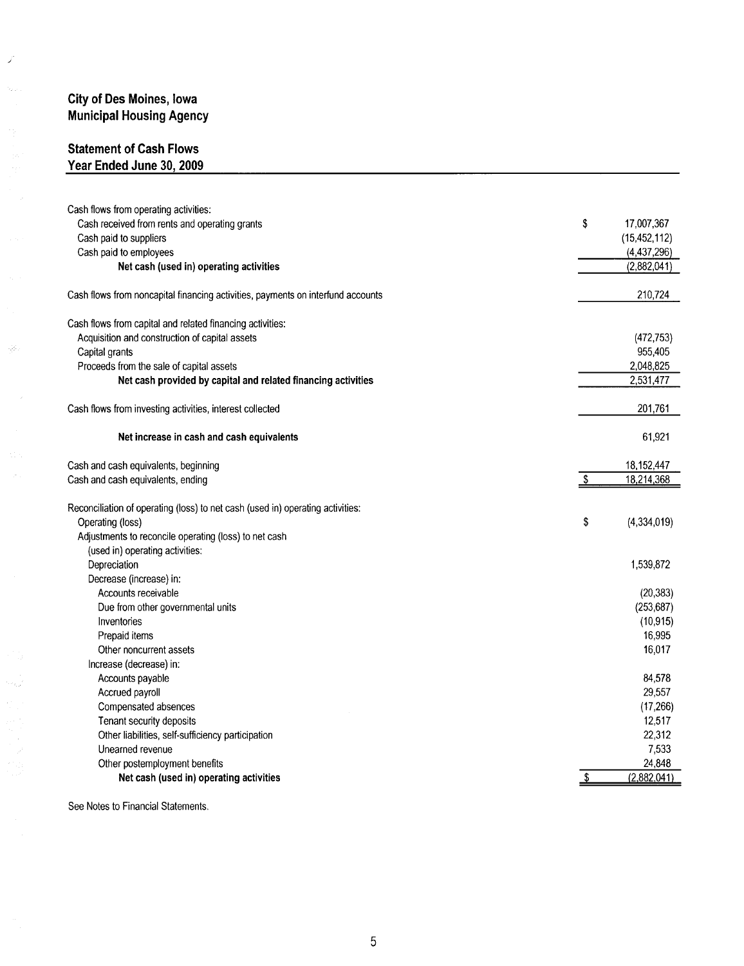$\mathcal{L}$ 

 $\zeta_{\rm{2,2}}$ 

 $\mathcal{L}_{\mathcal{G}}^{\mathcal{L}}$ 

ر<br>أوبار

## Statement of Cash Flows Year Ended June 30, 2009

| Cash flows from operating activities:                                           |               |                |
|---------------------------------------------------------------------------------|---------------|----------------|
| Cash received from rents and operating grants                                   | \$            | 17,007,367     |
| Cash paid to suppliers                                                          |               | (15, 452, 112) |
| Cash paid to employees                                                          |               | (4, 437, 296)  |
| Net cash (used in) operating activities                                         |               | (2,882,041)    |
| Cash flows from noncapital financing activities, payments on interfund accounts |               | 210,724        |
| Cash flows from capital and related financing activities:                       |               |                |
| Acquisition and construction of capital assets                                  |               | (472, 753)     |
| Capital grants                                                                  |               | 955,405        |
| Proceeds from the sale of capital assets                                        |               | 2,048,825      |
| Net cash provided by capital and related financing activities                   |               | 2,531,477      |
| Cash flows from investing activities, interest collected                        |               | 201,761        |
| Net increase in cash and cash equivalents                                       |               | 61,921         |
| Cash and cash equivalents, beginning                                            |               | 18,152,447     |
| Cash and cash equivalents, ending                                               | \$            | 18,214,368     |
| Reconciliation of operating (loss) to net cash (used in) operating activities:  |               |                |
| Operating (loss)                                                                | \$            | (4,334,019)    |
| Adjustments to reconcile operating (loss) to net cash                           |               |                |
| (used in) operating activities:                                                 |               |                |
| Depreciation                                                                    |               | 1,539,872      |
| Decrease (increase) in:                                                         |               |                |
| Accounts receivable                                                             |               | (20, 383)      |
| Due from other governmental units                                               |               | (253, 687)     |
| Inventories                                                                     |               | (10, 915)      |
| Prepaid items                                                                   |               | 16,995         |
| Other noncurrent assets                                                         |               | 16,017         |
| Increase (decrease) in:                                                         |               |                |
| Accounts payable                                                                |               | 84,578         |
| Accrued payroll                                                                 |               | 29,557         |
| Compensated absences                                                            |               | (17, 266)      |
| Tenant security deposits                                                        |               | 12,517         |
| Other liabilities, self-sufficiency participation                               |               | 22,312         |
| Unearned revenue                                                                |               | 7,533          |
| Other postemployment benefits                                                   |               | 24,848         |
| Net cash (used in) operating activities                                         | $\frac{3}{2}$ | (2,882,041)    |

See Notes to Financial Statements.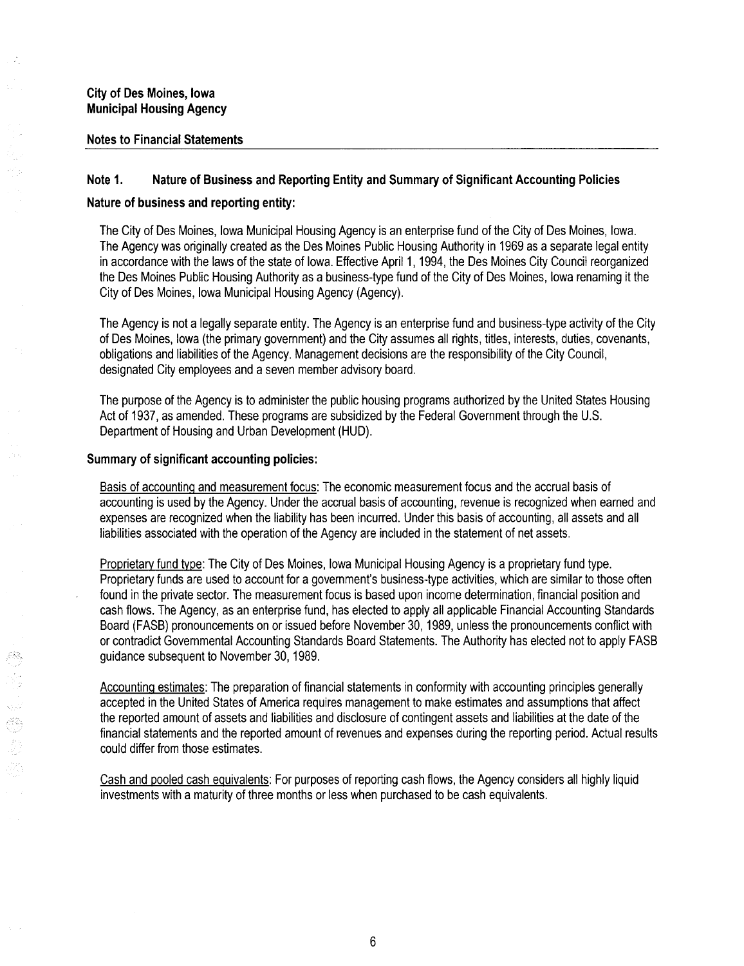#### Notes to Financial Statements

#### Note 1. Nature of Business and Reporting Entity and Summary of Significant Accounting Policies

#### Nature of business and reporting entity:

The City of Des Moines, Iowa Municipal Housing Agency is an enterprise fund of the City of Des Moines, Iowa. The Agency was originally created as the Des Moines Public Housing Authority in 1969 as a separate legal entity in accordance with the laws of the state of Iowa. Effective April 1 , 1994, the Des Moines City Council reorganized the Des Moines Public Housing Authority as a business-type fund of the City of Des Moines, Iowa renaming it the City of Des Moines, Iowa Municipal Housing Agency (Agency).

The Agency is not a legally separate entity. The Agency is an enterprise fund and business-type activity of the City of Des Moines, Iowa (the primary government) and the City assumes all rights, titles, interests, duties, covenants, obligations and liabilties of the Agency. Management decisions are the responsibility of the City Council, designated City employees and a seven member advisory board.

The purpose of the Agency is to administer the public housing programs authorized by the United States Housing Act of 1937, as amended. These programs are subsidized by the Federal Government through the U.S. Department of Housing and Urban Development (HUD).

#### Summary of significant accounting policies:

Basis of accountinq and measurement focus: The economic measurement focus and the accrual basis of accounting is used by the Agency. Under the accrual basis of accounting, revenue is recognized when earned and expenses are recognized when the liabilty has been incurred. Under this basis of accounting, all assets and all liabilties associated with the operation of the Agency are included in the statement of net assets.

Proprietary fund type: The City of Des Moines, Iowa Municipal Housing Agency is a proprietary fund type. Proprietary funds are used to account for a government's business-type activities, which are similar to those often found in the private sector. The measurement focus is based upon income determination, financial position and cash flows. The Agency, as an enterprise fund, has elected to apply all applicable Financial Accounting Standards Board (FASB) pronouncements on or issued before November 30,1989, unless the pronouncements conflict with or contradict Governmental Accounting Standards Board Statements. The Authority has elected not to apply F ASB guidance subsequent to November 30,1989.

Accountinq estimates: The preparation of financial statements in conformity with accounting principles generally accepted in the United States of America requires management to make estimates and assumptions that affect the reported amount of assets and liabilities and disclosure of contingent assets and liabilities at the date of the financial statements and the reported amount of revenues and expenses during the reporting period. Actual results could differ from those estimates.

Cash and pooled cash equivalents: For purposes of reporting cash flows, the Agency considers all highly liquid investments with a maturity of three months or less when purchased to be cash equivalents.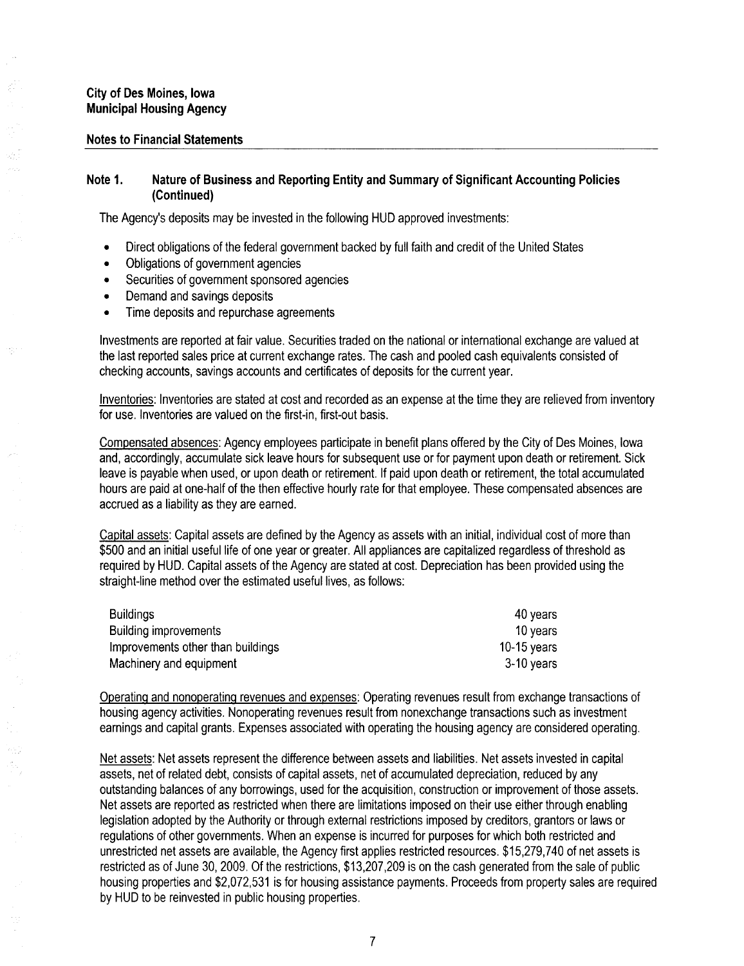#### Notes to Financial Statements

#### Note 1. Nature of Business and Reporting Entity and Summary of Significant Accounting Policies (Continued)

The Agency's deposits may be invested in the following HUD approved investments:

- . Direct obligations of the federal government backed by full faith and credit of the United States
- . Obligations of government agencies
- . Securities of government sponsored agencies
- . Demand and savings deposits
- . Time deposits and repurchase agreements

Investments are reported at fair value. Securities traded on the national or international exchange are valued at the last reported sales price at current exchange rates. The cash and pooled cash equivalents consisted of checking accounts, savings accounts and certificates of deposits for the current year.

Inventories: Inventories are stated at cost and recorded as an expense at the time they are relieved from inventory for use. Inventories are valued on the first-in, first-out basis.

Compensated absences: Agency employees participate in benefit plans offered by the City of Des Moines, Iowa and, accordingly, accumulate sick leave hours for subsequent use or for payment upon death or retirement. Sick leave is payable when used, or upon death or retirement. If paid upon death or retirement, the total accumulated hours are paid at one-half of the then effective hourly rate for that employee. These compensated absences are accrued as a liabilty as they are earned.

Capital assets: Capital assets are defined by the Agency as assets with an initial, individual cost of more than \$500 and an initial useful life of one year or greater. All appliances are capitalized regardless of threshold as required by HUD. Capital assets of the Agency are stated at cost. Depreciation has been provided using the straight-line method over the estimated useful lives, as follows:

| Buildings                         | 40 years    |
|-----------------------------------|-------------|
| Building improvements             | 10 vears    |
| Improvements other than buildings | 10-15 years |
| Machinery and equipment           | 3-10 years  |

OperatinQ and nonoperatinQ revenues and expenses: Operating revenues result from exchange transactions of housing agency activities. Nonoperating revenues result from nonexchange transactions such as investment earnings and capital grants. Expenses associated with operating the housing agency are considered operating.

Net assets: Net assets represent the difference between assets and liabilities. Net assets invested in capital assets, net of related debt, consists of capital assets, net of accumulated depreciation, reduced by any outstanding balances of any borrowings, used for the acquisition, construction or improvement of those assets. Net assets are reported as restricted when there are limitations imposed on their use either through enabling legislation adopted by the Authority or through external restrictions imposed by creditors, grantors or laws or regulations of other governments. When an expense is incurred for purposes for which both restricted and unrestricted net assets are available, the Agency first applies restricted resources. \$15,279,740 of net assets is restricted as of June 30,2009. Of the restrictions, \$13,207,209 is on the cash generated from the sale of public housing properties and \$2,072,531 is for housing assistance payments. Proceeds from property sales are required by HUD to be reinvested in public housing properties.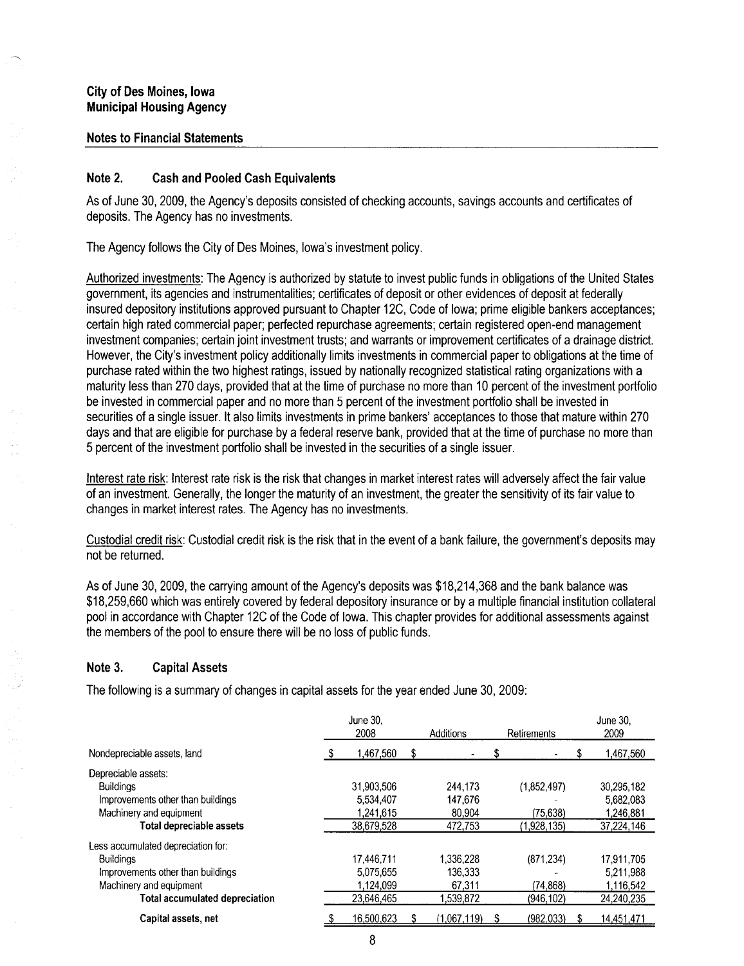#### Notes to Financial Statements

#### Note 2. Cash and Pooled Cash Equivalents

As of June 30, 2009, the Agency's deposits consisted of checking accounts, savings accounts and certificates of deposits. The Agency has no investments.

The Agency follows the City of Des Moines, Iowa's investment policy.

Authorized investments: The Agency is authorized by statute to invest public funds in obligations of the United States government, its agencies and instrumentalities; certificates of deposit or other evidences of deposit at federally insured depository institutions approved pursuant to Chapter 12C, Code of Iowa; prime eligible bankers acceptances; certain high rated commercial paper; perfected repurchase agreements; certain registered open-end management investment companies; certain joint investment trusts; and warrants or improvement certificates of a drainage district. However, the City's investment policy additionally limits investments in commercial paper to obligations at the time of purchase rated within the two highest ratings, issued by nationally recognized statistical rating organizations with a maturity less than 270 days, provided that at the time of purchase no more than 10 percent of the investment portolio be invested in commercial paper and no more than 5 percent of the investment portfolio shall be invested in securities of a single issuer. It also limits investments in prime bankers' acceptances to those that mature within 270 days and that are eligible for purchase by a federal reserve bank, provided that at the time of purchase no more than 5 percent of the investment portolio shall be invested in the securities of a single issuer.

Interest rate risk: Interest rate risk is the risk that changes in market interest rates wil adversely affect the fair value of an investment. Generally, the longer the maturity of an investment, the greater the sensitivity of its fair value to changes in market interest rates. The Agency has no investments.

Custodial credit risk: Custodial credit risk is the risk that in the event of a bank failure, the government's deposits may not be returned.

As of June 30, 2009, the carrying amount of the Agency's deposits was \$18,214,368 and the bank balance was \$18,259,660 which was entirely covered by federal depository insurance or by a multiple financial institution collateral pool in accordance with Chapter 12C of the Code of Iowa. This chapter provides for additional assessments against the members of the pool to ensure there will be no loss of public funds.

#### Note 3. Capital Assets

The following is a summary of changes in capital assets for the year ended June 30, 2009:

|                                       | June 30.<br>2008 |   | Additions   | Retirements | June 30.<br>2009 |
|---------------------------------------|------------------|---|-------------|-------------|------------------|
| Nondepreciable assets, land           | 1.467.560        | S |             |             | 1,467,560        |
| Depreciable assets:                   |                  |   |             |             |                  |
| <b>Buildings</b>                      | 31,903,506       |   | 244.173     | (1,852,497) | 30,295,182       |
| Improvements other than buildings     | 5.534,407        |   | 147,676     |             | 5,682,083        |
| Machinery and equipment               | 1,241,615        |   | 80,904      | (75.638)    | 1.246.881        |
| <b>Total depreciable assets</b>       | 38,679,528       |   | 472,753     | (1,928,135) | 37,224,146       |
| Less accumulated depreciation for:    |                  |   |             |             |                  |
| <b>Buildings</b>                      | 17.446.711       |   | 1,336,228   | (871.234)   | 17,911,705       |
| Improvements other than buildings     | 5.075.655        |   | 136.333     |             | 5.211.988        |
| Machinery and equipment               | 1.124.099        |   | 67.311      | (74.868)    | 1,116,542        |
| <b>Total accumulated depreciation</b> | 23,646,465       |   | 1,539,872   | (946,102)   | 24,240,235       |
| Capital assets, net                   | 16,500,623       |   | (1,067,119) | (982.033)   | 14,451,471       |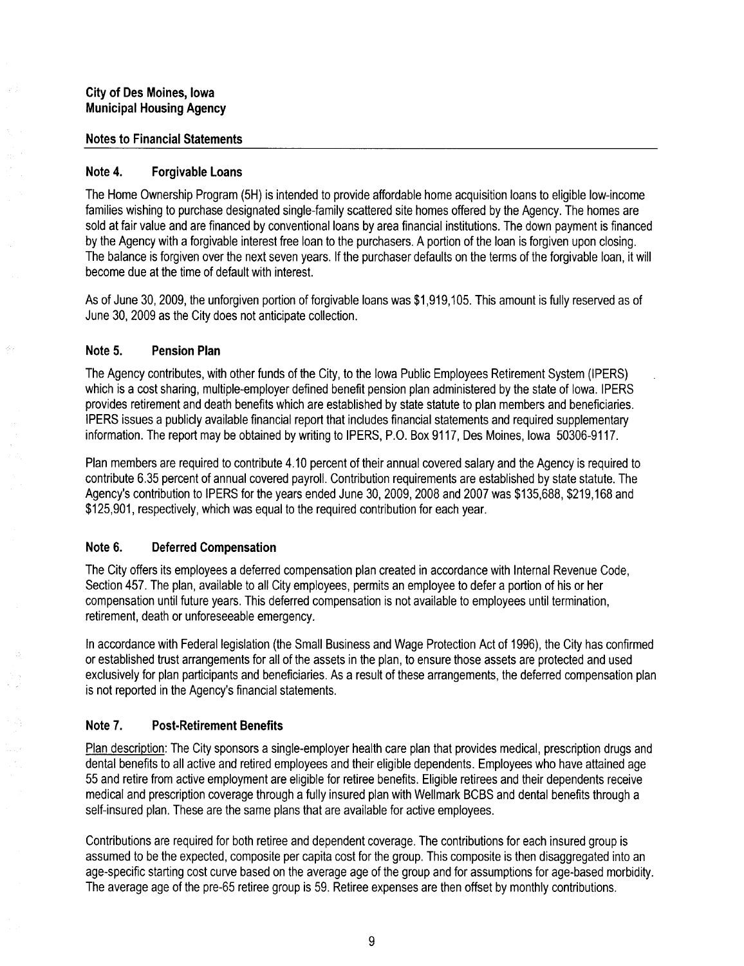#### Notes to Financial Statements

#### Note 4. Forgivable Loans

The Home Ownership Program (5H) is intended to provide affordable home acquisition loans to eligible low-income familes wishing to purchase designated single-family scattered site homes offered by the Agency. The homes are sold at fair value and are financed by conventional loans by area financial institutions. The down payment is financed by the Agency with a forgivable interest free loan to the purchasers. A portion of the loan is forgiven upon closing. The balance is forgiven over the next seven years. If the purchaser defaults on the terms of the forgivable loan, it will become due at the time of default with interest.

As of June 30, 2009, the unforgiven portion of forgivable loans was \$1,919,105. This amount is fully reserved as of June 30, 2009 as the City does not anticipate collection.

#### Note 5. Pension Plan

The Agency contributes, with other funds of the City, to the Iowa Public Employees Retirement System (IPERS) which is a cost sharing, multiple-employer defined benefit pension plan administered by the state of Iowa. IPERS provides retirement and death benefis which are established by state statute to plan members and beneficiaries. IPERS issues a publicly available financial report that includes financial statements and required supplementary information. The report may be obtained by writing to IPERS, P.O. Box 9117, Des Moines, Iowa 50306-9117.

Plan members are required to contribute 4.10 percent of their annual covered salary and the Agency is required to contribute 6.35 percent of annual covered payroll. Contribution requirements are established by state statute. The Agency's contribution to IPERS for the years ended June 30, 2009, 2008 and 2007 was \$135,688, \$219,168 and \$125,901, respectively, which was equal to the required contribution for each year.

#### Note 6. Deferred Compensation

The City offers its employees a deferred compensation plan created in accordance with Internal Revenue Code, Section 457. The plan, available to all City employees, permits an employee to defer a portion of his or her compensation until future years. This deferred compensation is not available to employees until termination, retirement, death or unforeseeable emergency.

In accordance with Federal legislation (the Small Business and Wage Protection Act of 1996), the City has confirmed or established trust arrangements for all of the assets in the plan, to ensure those assets are protected and used exclusively for plan participants and beneficiaries. As a result of these arrangements, the deferred compensation plan is not reported in the Agency's financial statements.

#### Note 7. Post-Retirement Benefits

Plan description: The City sponsors a single-employer health care plan that provides medical, prescription drugs and dental benefits to all active and retired employees and their eligible dependents. Employees who have attained age 55 and retire from active employment are eligible for retiree benefis. Eligible retirees and their dependents receive medical and prescription coverage through a fully insured plan with Wellmark BCBS and dental benefits through a self-insured plan. These are the same plans that are available for active employees.

Contributions are required for both retiree and dependent coverage. The contributions for each insured group is assumed to be the expected, composite per capita cost for the group. This composite is then disaggregated into an age-specific starting cost curve based on the average age of the group and for assumptions for age-based morbidity. The average age of the pre-65 retiree group is 59. Retiree expenses are then offset by monthly contributions.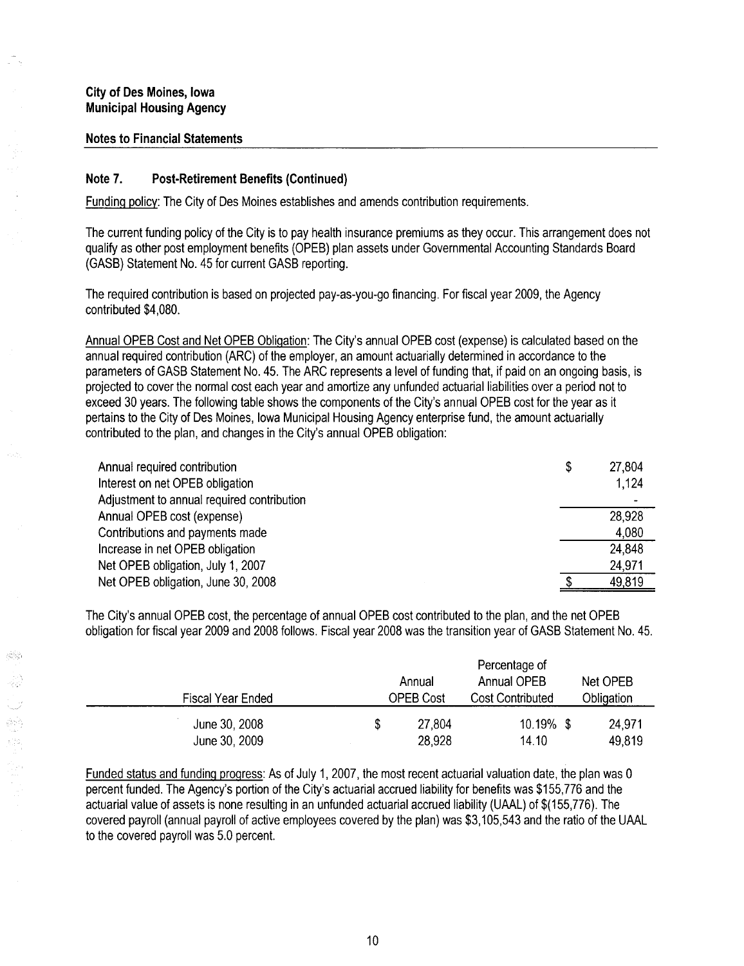#### Notes to Financial Statements

#### Note 7. Post-Retirement Benefits (Continued)

FundinQ policy: The City of Des Moines establishes and amends contribution requirements.

The current funding policy of the City is to pay health insurance premiums as they occur. This arrangement does not qualify as other post employment benefits (OPEB) plan assets under Governmental Accounting Standards Board (GASB) Statement No. 45 for current GASB reporting.

The required contribution is based on projected pay-as-you-go financing. For fiscal year 2009, the Agency contributed \$4,080.

Annual OPEB Cost and Net OPEB ObliQation: The City's annual OPEB cost (expense) is calculated based on the annual required contribution (ARC) of the employer, an amount actuarially determined in accordance to the parameters of GASB Statement No. 45. The ARC represents a level of funding that, if paid on an ongoing basis, is projected to cover the normal cost each year and amortize any unfunded actuarial liabilties over a period not to exceed 30 years. The following table shows the components of the City's annual OPEB cost for the year as it pertains to the City of Des Moines, Iowa Municipal Housing Agency enterprise fund, the amount actuarially contributed to the plan, and changes in the City's annual OPEB obligation:

| Annual required contribution               | \$<br>27,804 |
|--------------------------------------------|--------------|
| Interest on net OPEB obligation            | 1,124        |
| Adjustment to annual required contribution |              |
| Annual OPEB cost (expense)                 | 28,928       |
| Contributions and payments made            | 4,080        |
| Increase in net OPEB obligation            | 24,848       |
| Net OPEB obligation, July 1, 2007          | 24,971       |
| Net OPEB obligation, June 30, 2008         | 49,819       |

The City's annual OPEB cost, the percentage of annual OPEB cost contributed to the plan, and the net OPEB obligation for fiscal year 2009 and 2008 follows. Fiscal year 2008 was the transition year of GASB Statement No. 45.

| Fiscal Year Ended              | Annual<br><b>OPEB Cost</b> | Percentage of<br><b>Annual OPEB</b><br><b>Cost Contributed</b> | Net OPEB<br>Obligation |
|--------------------------------|----------------------------|----------------------------------------------------------------|------------------------|
| June 30, 2008<br>June 30, 2009 | \$<br>27,804<br>28,928     | 10.19% \$<br>14.10                                             | 24,971<br>49,819       |

Funded status and funding progress: As of July 1, 2007, the most recent actuarial valuation date, the plan was 0 percent funded. The Agency's portion of the City's actuarial accrued liability for benefits was \$155,776 and the actuarial value of assets is none resulting in an unfunded actuarial accrued liability (UAAL) of \$(155,776). The covered payroll (annual payroll of active employees covered by the plan) was \$3,105,543 and the ratio of the UAAL to the covered payroll was 5.0 percent.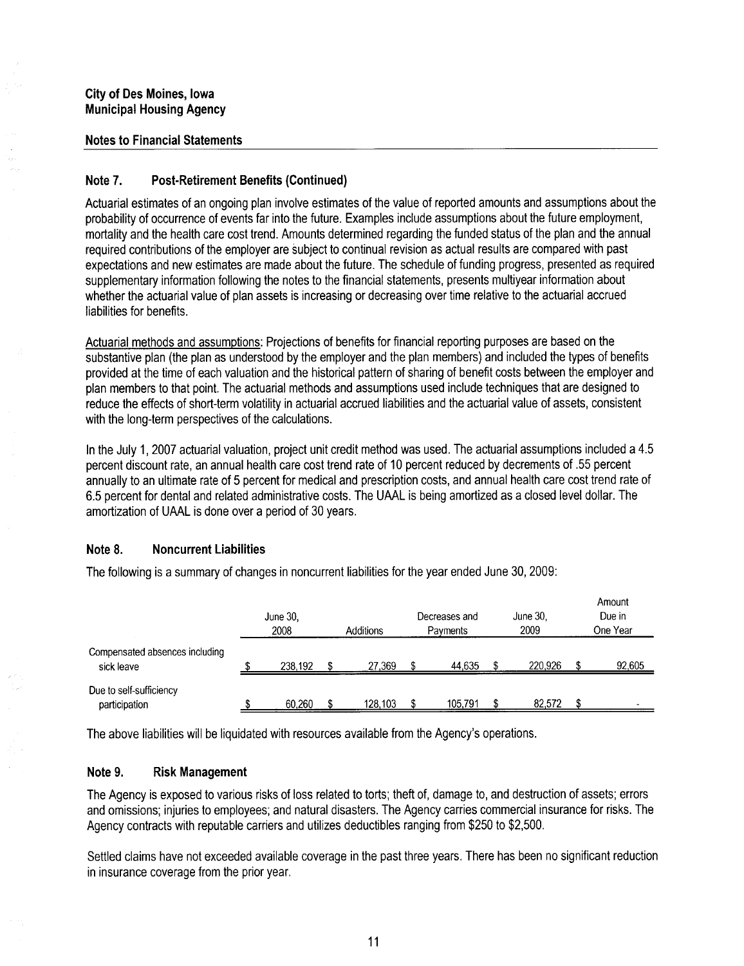#### Notes to Financial Statements

#### Note 7. Post-Retirement Benefits (Continued)

Actuarial estimates of an ongoing plan involve estimates of the value of reported amounts and assumptions about the probability of occurrence of events far into the future. Examples include assumptions about the future employment, mortality and the health care cost trend. Amounts determined regarding the funded status of the plan and the annual required contributions of the employer are subject to continual revision as actual results are compared with past expectations and new estimates are made about the future. The schedule of funding progress, presented as required supplementary information following the notes to the financial statements, presents multiyear information about whether the actuarial value of plan assets is increasing or decreasing over time relative to the actuarial accrued liabilities for benefits.

Actuarial methods and assumptions: Projections of benefis for financial reporting purposes are based on the substantive plan (the plan as understood by the employer and the plan members) and included the types of benefis provided at the time of each valuation and the historical pattern of sharing of benefit costs between the employer and plan members to that point. The actuarial methods and assumptions used include techniques that are designed to reduce the effects of short-term volatilty in actuarial accrued liabilities and the actuarial value of assets, consistent with the long-term perspectives of the calculations.

In the July 1,2007 actuarial valuation, project unit credit method was used. The actuarial assumptions included a 4.5 percent discount rate, an annual health care cost trend rate of 10 percent reduced by decrements of .55 percent annually to an ultimate rate of 5 percent for medical and prescription costs, and annual health care cost trend rate of 6.5 percent for dental and related administrative costs. The UAAL is being amortized as a closed level dollar. The amortization of UAAL is done over a period of 30 years.

#### Note 8. Noncurrent Liabilties

The following is a summary of changes in noncurrent liabîlties for the year ended June 30,2009:

|                                              | June 30.<br>2008 |         |  | <b>Additions</b> |  | Decreases and<br>Payments |  | June 30.<br>2009 | Amount<br>Due in<br>One Year |        |  |
|----------------------------------------------|------------------|---------|--|------------------|--|---------------------------|--|------------------|------------------------------|--------|--|
| Compensated absences including<br>sick leave |                  | 238,192 |  | 27.369           |  | 44,635                    |  | 220.926          |                              | 92,605 |  |
| Due to self-sufficiency<br>participation     |                  | 60,260  |  | 128,103          |  | 105,791                   |  | 82.572           |                              |        |  |

The above liabilities will be liquidated with resources available from the Agency's operations.

#### Note 9. Risk Management

The Agency is exposed to various risks of loss related to torts; theft of, damage to, and destruction of assets; errors and omissions; injuries to employees; and natural disasters. The Agency carries commercial insurance for risks. The Agency contracts with reputable carriers and utîlzes deductibles ranging from \$250 to \$2,500.

Settled claims have not exceeded available coverage in the past three years. There has been no significant reduction in insurance coverage from the prior year.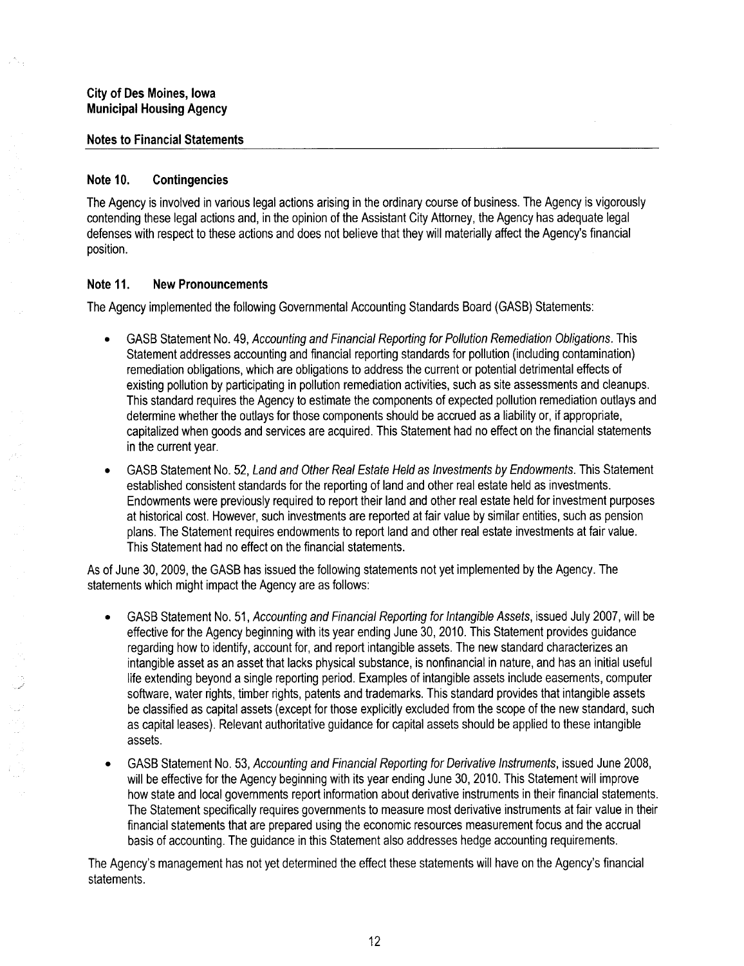#### Notes to Financial Statements

#### Note 10. Contingencies

The Agency is involved in various legal actions arising in the ordinary course of business. The Agency is vigorously contending these legal actions and, in the opinion of the Assistant City Attorney, the Agency has adequate legal defenses with respect to these actions and does not believe that they will materially affect the Agency's financial position.

#### Note 11. New Pronouncements

The Agency implemented the following Governmental Accounting Standards Board (GASB) Statements:

- . GASB Statement No. 49, Accounting and Financial Reporting for Pollution Remediation Obligations. This Statement addresses accounting and financial reporting standards for pollution (including contamination) remediation obligations, which are obligations to address the current or potential detrimental effects of existing pollution by participating in pollution remediation activities, such as site assessments and cleanups. This standard requires the Agency to estimate the components of expected pollution remediation outlays and determine whether the outlays for those components should be accrued as a liabilty or, if appropriate, capitalized when goods and services are acquired. This Statement had no effect on the financial statements in the current year.
- . GASB Statement No. 52, Land and Other Real Estate Held as Investments by Endowments. This Statement established consistent standards for the reporting of land and other real estate held as investments. Endowments were previously required to report their land and other real estate held for investment purposes at historical cost. However, such investments are reported at fair value by similar entities, such as pension plans. The Statement requires endowments to report land and other real estate investments at fair value. This Statement had no effect on the financial statements.

As of June 30, 2009, the GASB has issued the following statements not yet implemented by the Agency. The statements which might impact the Agency are as follows:

- . GASB Statement No. 51, Accounting and Financial Reporting for Intangible Assets, issued July 2007, wil be effective for the Agency beginning with its year ending June 30, 2010. This Statement provides guidance regarding how to identify, account for, and report intangible assets. The new standard characterizes an intangible asset as an asset that lacks physical substance, is nonfinancial in nature, and has an initial useful life extending beyond a single reporting period. Examples of intangible assets include easements, computer software, water rights, timber rights, patents and trademarks. This standard provides that intangible assets be classified as capital assets (except for those explicitly excluded from the scope of the new standard, such as capital leases). Relevant authoritative guidance for capital assets should be applied to these intangible assets.
- . GASB Statement No. 53, Accounting and Financial Reporting for Derivative Instruments, issued June 2008, will be effective for the Agency beginning with its year ending June 30, 2010. This Statement will improve how state and local governments report information about derivative instruments in their financial statements. The Statement specifically requires governments to measure most derivative instruments at fair value in their financial statements that are prepared using the economic resources measurement focus and the accrual basis of accounting. The guidance in this Statement also addresses hedge accounting requirements.

The Agency's management has not yet determined the effect these statements wil have on the Agency's financial statements.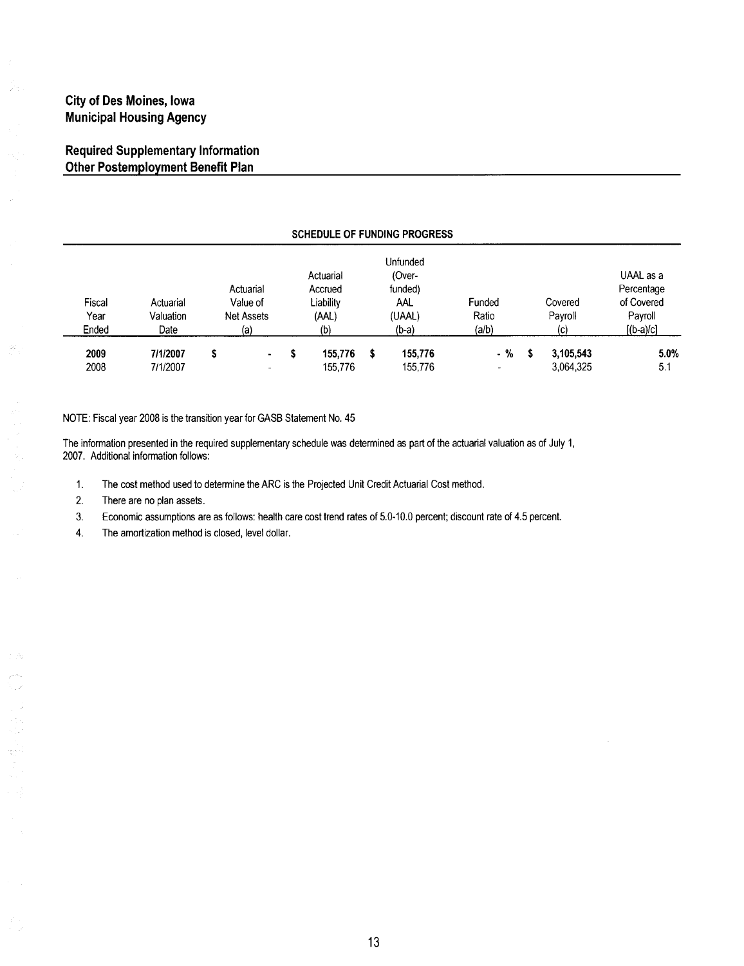#### Required Supplementary Information Other Postemployment Benefit Plan

| <b>SCHEDULE OF FUNDING PROGRESS</b> |                                |                                                   |   |                                                   |   |                                                           |                          |  |                                          |                                                                 |
|-------------------------------------|--------------------------------|---------------------------------------------------|---|---------------------------------------------------|---|-----------------------------------------------------------|--------------------------|--|------------------------------------------|-----------------------------------------------------------------|
| Fiscal<br>Year<br>Ended             | Actuarial<br>Valuation<br>Date | Actuarial<br>Value of<br><b>Net Assets</b><br>(a) |   | Actuarial<br>Accrued<br>Liability<br>(AAL)<br>(b) |   | Unfunded<br>(Over-<br>funded)<br>AAL<br>(UAAL)<br>$(b-a)$ | Funded<br>Ratio<br>(alb) |  | Covered<br>Payroll<br>$\left( c \right)$ | UAAL as a<br>Percentage<br>of Covered<br>Payroll<br>$[(b-a)/c]$ |
| 2009<br>2008                        | 7/1/2007<br>7/1/2007           | S<br>$\bullet$<br>$\overline{\phantom{a}}$        | Ð | 155,776<br>155,776                                | S | 155,776<br>155.776                                        | - %                      |  | 3,105,543<br>3.064,325                   | 5.0%<br>5.1                                                     |

NOTE: Fiscal year 2008 is the transition year for GASB Statement No. 45

The information presented in the required supplementary schedule was determined as part of the actuarial valuation as of July 1, 2007. Additional information follows:

- 1. The cost method used to determine the ARC is the Projected Unit Credit Actuarial Cost method.
- 2. There are no plan assets.

د.<br>د د د

- 3. Economic assumptions are as follows: health care cost trend rates of 5.0-10.0 percent; discount rate of 4.5 percent.
- 4. The amortization method is closed, level dollar.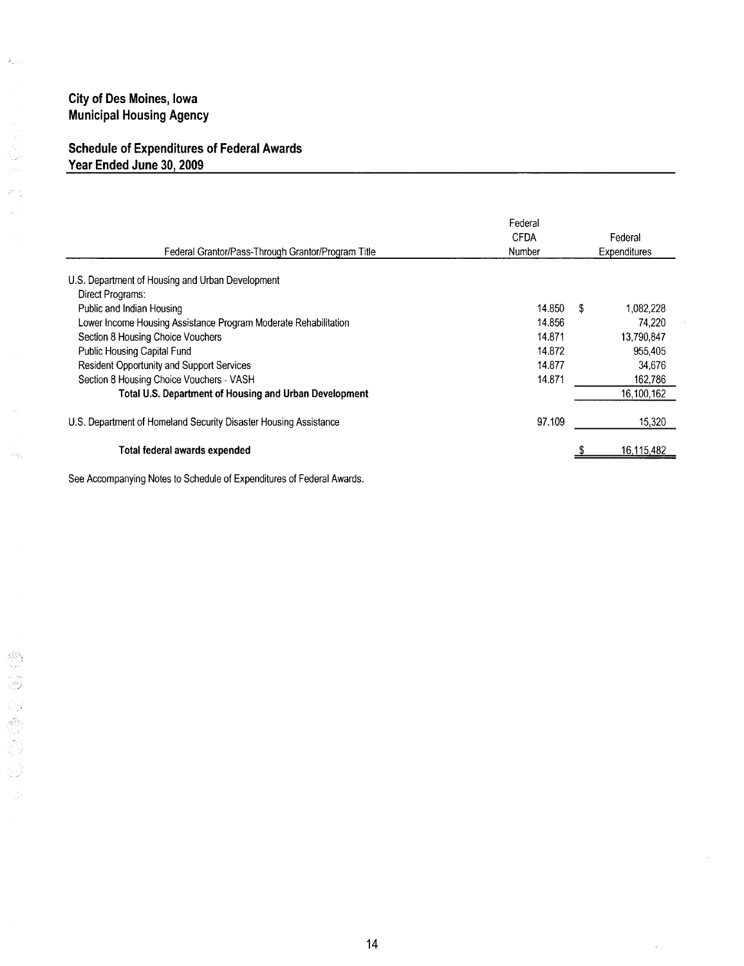## Schedule of Expenditures of Federal Awards Year Ended June 30, 2009

| Federal Grantor/Pass-Through Grantor/Program Title               | Federal<br><b>CFDA</b><br>Number | Federal<br>Expenditures |
|------------------------------------------------------------------|----------------------------------|-------------------------|
| U.S. Department of Housing and Urban Development                 |                                  |                         |
| Direct Programs:                                                 |                                  |                         |
| Public and Indian Housing                                        | 14.850                           | 1,082,228<br>-S         |
| Lower Income Housing Assistance Program Moderate Rehabilitation  | 14.856                           | 74.220                  |
| Section 8 Housing Choice Vouchers                                | 14.871                           | 13.790.847              |
| Public Housing Capital Fund                                      | 14.872                           | 955.405                 |
| <b>Resident Opportunity and Support Services</b>                 | 14.877                           | 34,676                  |
| Section 8 Housing Choice Vouchers - VASH                         | 14.871                           | 162,786                 |
| Total U.S. Department of Housing and Urban Development           |                                  | 16,100,162              |
| U.S. Department of Homeland Security Disaster Housing Assistance | 97.109                           | 15,320                  |
| Total federal awards expended                                    |                                  | 16,115,482              |

See Accompanying Notes to Schedule of Expenditures of Federal Awards.

ar ej

i<br>Sa

 $\mathcal{E}$  :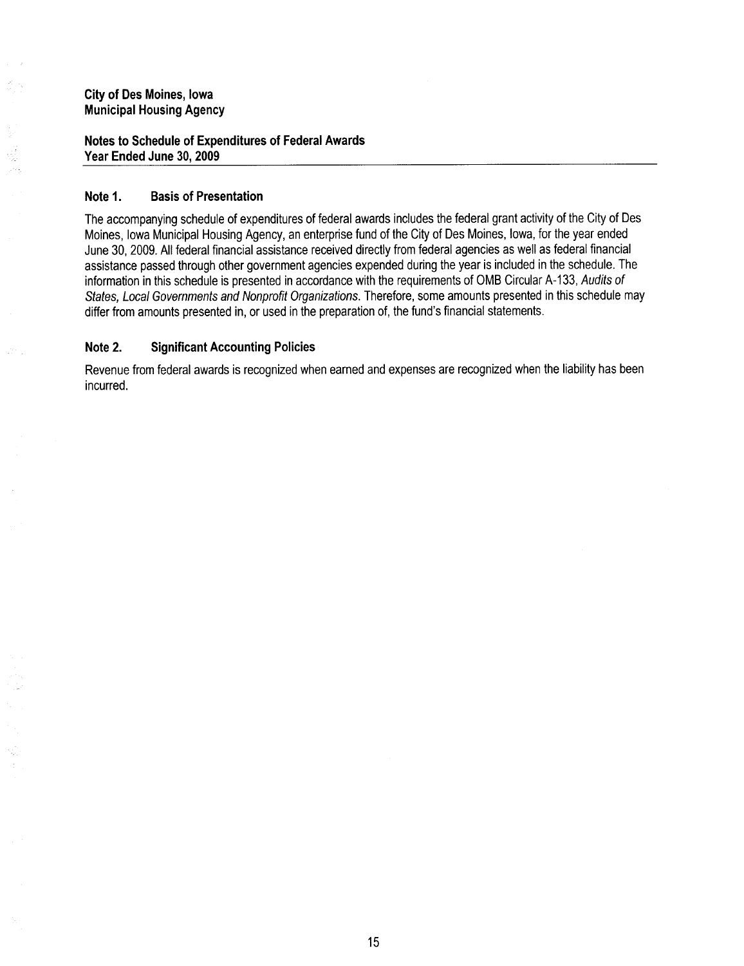#### Notes to Schedule of Expenditures of Federal Awards Year Ended June 30, 2009

#### Note 1. Basis of Presentation

The accompanying schedule of expenditures of federal awards includes the federal grant activity of the City of Des Moines, Iowa Municipal Housing Agency, an enterprise fund of the City of Des Moines, Iowa, for the year ended June 30, 2009. All federal financial assistance received directly from federal agencies as well as federal financial assistance passed through other government agencies expended during the year is included in the schedule. The information in this schedule is presented in accordance with the requirements of OMB Circular A-133, Audits of States, Local Governments and Nonprofit Organizations. Therefore, some amounts presented in this schedule may differ from amounts presented in, or used in the preparation of, the fund's financial statements.

#### Note 2. Significant Accounting Policies

Revenue from federal awards is recognized when earned and expenses are recognized when the liability has been incurred.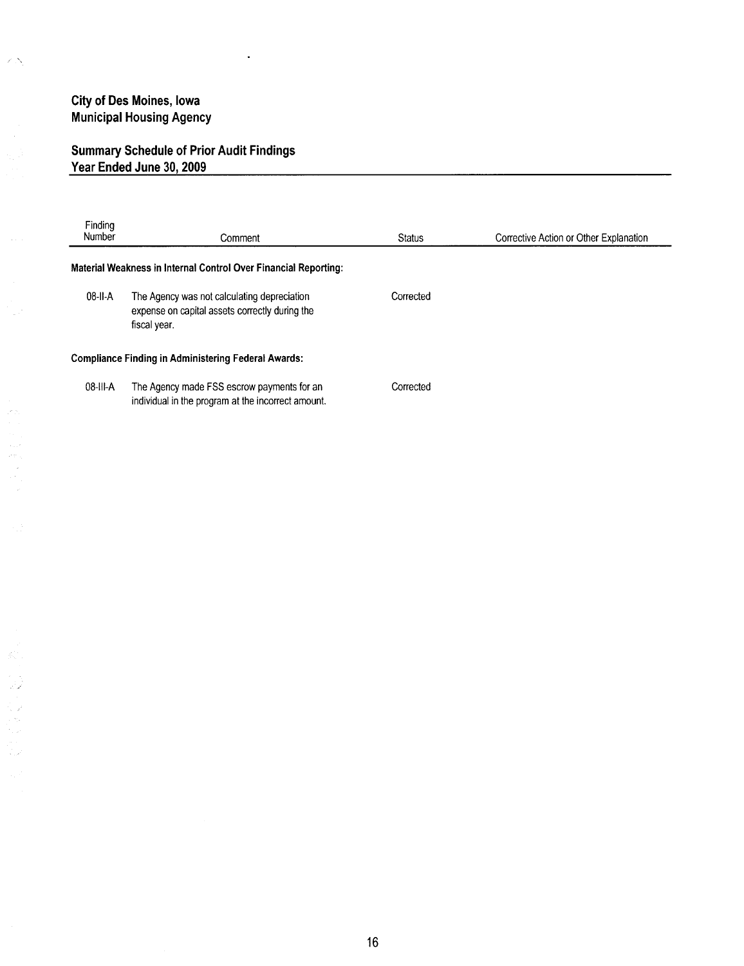$\times$  N

 $\mathcal{P}^{(1)}$ 

Ú.

#### Summary Schedule of Prior Audit Findings Year Ended June 30, 2009

 $\ddot{\phantom{a}}$ 

| Finding<br>Number                                               | Comment                                                                                                       | <b>Status</b> | Corrective Action or Other Explanation |
|-----------------------------------------------------------------|---------------------------------------------------------------------------------------------------------------|---------------|----------------------------------------|
| Material Weakness in Internal Control Over Financial Reporting: |                                                                                                               |               |                                        |
| 08-II-A                                                         | The Agency was not calculating depreciation<br>expense on capital assets correctly during the<br>fiscal year. | Corrected     |                                        |
| <b>Compliance Finding in Administering Federal Awards:</b>      |                                                                                                               |               |                                        |
| 08-III-A                                                        | The Agency made FSS escrow payments for an<br>individual in the program at the incorrect amount.              | Corrected     |                                        |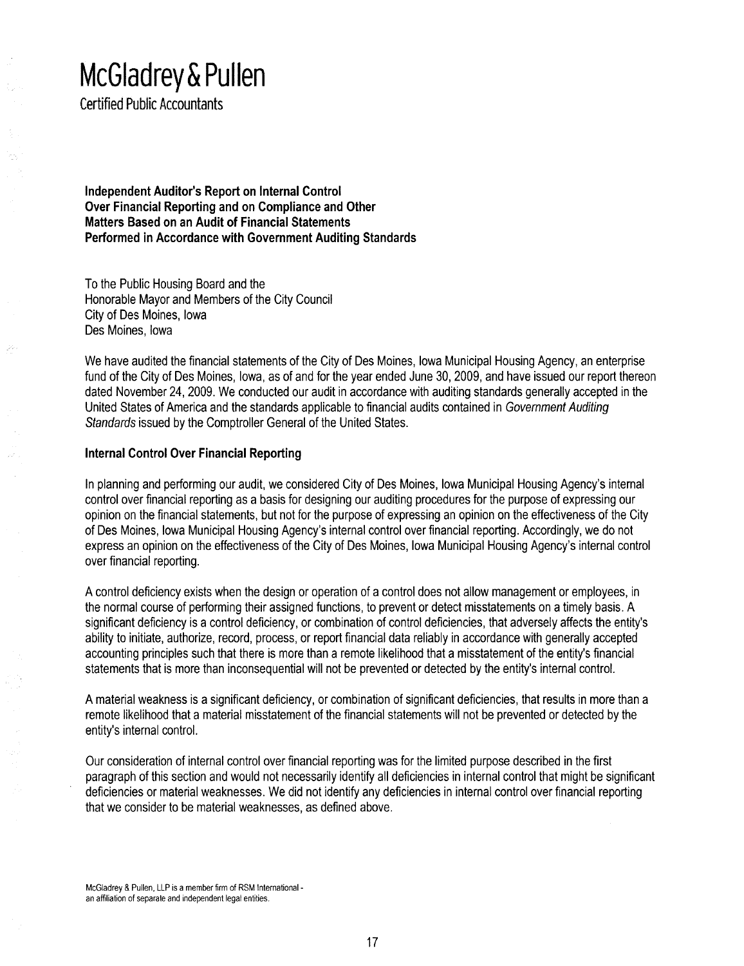## McGladrey & Pullen

Certified Public Accountants

Independent Auditor's Report on Internal Control Over Financial Reporting and on Compliance and Other Matters Based on an Audit of Financial Statements Performed in Accordance with Government Auditing Standards

To the Public Housing Board and the Honorable Mayor and Members of the City Council City of Des Moines, Iowa Des Moines, Iowa

We have audited the financial statements of the City of Des Moines, Iowa Municipal Housing Agency, an enterprise fund of the City of Des Moines, Iowa, as of and for the year ended June 30, 2009, and have issued our report thereon dated November 24,2009. We conducted our audit in accordance with auditing standards generally accepted in the United States of America and the standards applicable to financial audits contained in Government Auditng Standards issued by the Comptroller General of the United States.

#### Internal Control Over Financial Reporting

In planning and performing our audit, we considered City of Des Moines, Iowa Municipal Housing Agency's internal control over financial reporting as a basis for designing our auditing procedures for the purpose of expressing our opinion on the financial statements, but not for the purpose of expressing an opinion on the effectiveness of the City of Des Moines, Iowa Municipal Housing Agency's internal control over financial reporting. Accordingly, we do not express an opinion on the effectiveness of the City of Des Moines, Iowa Municipal Housing Agency's internal control over financial reporting.

A control deficiency exists when the design or operation of a control does not allow management or employees, in the normal course of performing their assigned functions, to prevent or detect misstatements on a timely basis. A significant deficiency is a control deficiency, or combination of control deficiencies, that adversely affects the entity's ability to initiate, authorize, record, process, or report financial data reliably in accordance with generally accepted accounting principles such that there is more than a remote likelihood that a misstatement of the entity's financial statements that is more than inconsequential will not be prevented or detected by the entity's internal control.

A material weakness is a significant deficiency, or combination of significant deficiencies, that results in more than a remote likelihood that a material misstatement of the financial statements wil not be prevented or detected by the entity's internal control.

Our consideration of internal control over financial reporting was for the limited purpose described in the first paragraph of this section and would not necessarily identify all deficiencies in internal control that might be significant deficiencies or material weaknesses. We did not identify any deficiencies in internal control over financial reporting that we consider to be material weaknesses, as defined above.

McGladrey & Pullen, LLP is a member firm of RSM Internationalan affliation of separate and independent legal entities.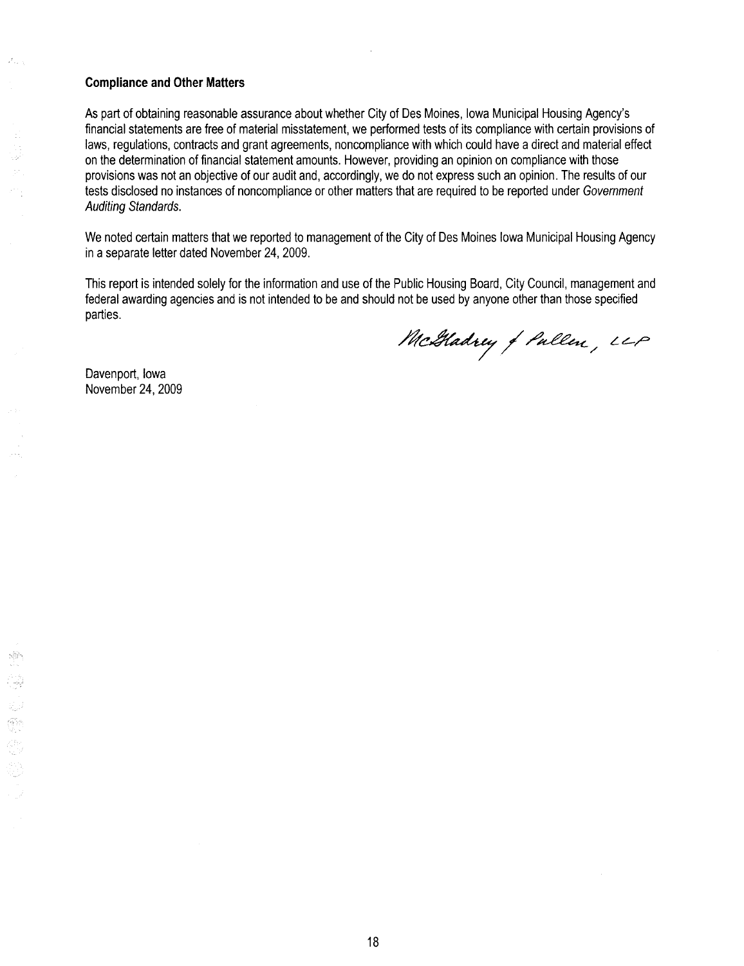#### Compliance and Other Matters

 $\mathcal{F}_{11}$  .

 $\mathcal{S}_{\text{eff}}^{\text{NLO}}$ 

 $\mathbb{G}^1_2$ 

As part of obtaining reasonable assurance about whether City of Des Moines, Iowa Municipal Housing Agency's financial statements are free of material misstatement, we performed tests of its compliance with certain provisions of laws, regulations, contracts and grant agreements, noncompliance with which could have a direct and material effect on the determination of financial statement amounts. However, providing an opinion on compliance with those provisions was not an objective of our audit and, accordingly, we do not express such an opinion. The results of our tests disclosed no instances of noncompliance or other matters that are required to be reported under Government Auditing Standards.

We noted certain matters that we reported to management of the City of Des Moines Iowa Municipal Housing Agency in a separate letter dated November 24,2009.

This report is intended solely for the information and use of the Public Housing Board, City Council, management and federal awarding agencies and is not intended to be and should not be used by anyone other than those specified parties.

McHadrey of Pullen, LLP

Davenport, Iowa November 24, 2009